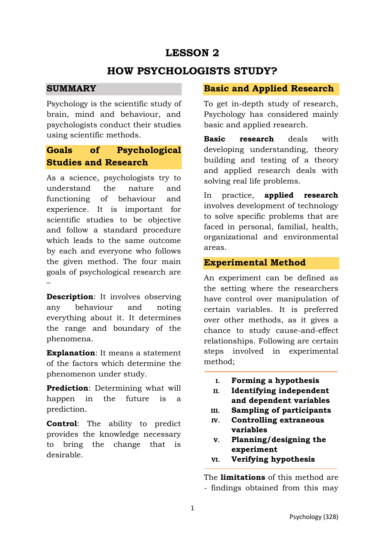# **LESSON 2**

### **HOW PSYCHOLOGISTS STUDY?**

#### **SUMMARY**

Psychology is the scientific study of brain, mind and behaviour, and psychologists conduct their studies using scientific methods.

### **Goals of Psychological Studies and Research**

As a science, psychologists try to understand the nature and functioning of behaviour and experience. It is important for scientific studies to be objective and follow a standard procedure which leads to the same outcome by each and everyone who follows the given method. The four main goals of psychological research are –

**Description:** It involves observing any behaviour and noting everything about it. It determines the range and boundary of the phenomena.

**Explanation**: It means a statement of the factors which determine the phenomenon under study.

**Prediction**: Determining what will happen in the future is a prediction.

**Control**: The ability to predict provides the knowledge necessary to bring the change that is desirable.

#### **Basic and Applied Research**

To get in-depth study of research, Psychology has considered mainly basic and applied research.

**Basic research** deals with developing understanding, theory building and testing of a theory and applied research deals with solving real life problems.

In practice, **applied research** involves development of technology to solve specific problems that are faced in personal, familial, health, organizational and environmental areas.

### **Experimental Method**

An experiment can be defined as the setting where the researchers have control over manipulation of certain variables. It is preferred over other methods, as it gives a chance to study cause-and-effect relationships. Following are certain steps involved in experimental method;

- **I. Forming a hypothesis**
- **II. Identifying independent and dependent variables**
- **III. Sampling of participants**
- **IV. Controlling extraneous variables**
- **V. Planning/designing the experiment**
- **VI. Verifying hypothesis**

The **limitations** of this method are - findings obtained from this may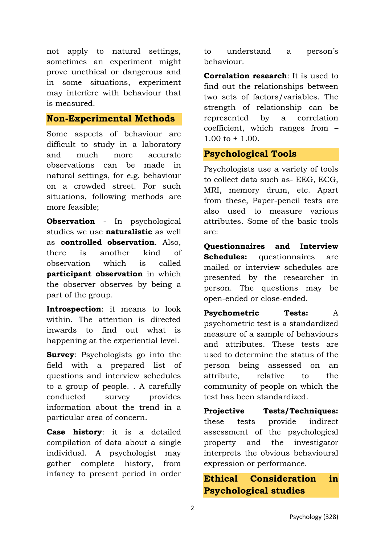not apply to natural settings, sometimes an experiment might prove unethical or dangerous and in some situations, experiment may interfere with behaviour that is measured.

### **Non-Experimental Methods**

Some aspects of behaviour are difficult to study in a laboratory and much more accurate observations can be made in natural settings, for e.g. behaviour on a crowded street. For such situations, following methods are more feasible;

**Observation** - In psychological studies we use **naturalistic** as well as **controlled observation**. Also, there is another kind of observation which is called **participant observation** in which the observer observes by being a part of the group.

**Introspection**: it means to look within. The attention is directed inwards to find out what is happening at the experiential level.

**Survey**: Psychologists go into the field with a prepared list of questions and interview schedules to a group of people. . A carefully conducted survey provides information about the trend in a particular area of concern.

**Case history**: it is a detailed compilation of data about a single individual. A psychologist may gather complete history, from infancy to present period in order to understand a person's behaviour.

**Correlation research**: It is used to find out the relationships between two sets of factors/variables. The strength of relationship can be represented by a correlation coefficient, which ranges from –  $1.00 \text{ to } + 1.00$ .

#### **Psychological Tools**

Psychologists use a variety of tools to collect data such as- EEG, ECG, MRI, memory drum, etc. Apart from these, Paper-pencil tests are also used to measure various attributes. Some of the basic tools are:

**Questionnaires and Interview Schedules:** questionnaires are mailed or interview schedules are presented by the researcher in person. The questions may be open-ended or close-ended.

**Psychometric Tests:** A psychometric test is a standardized measure of a sample of behaviours and attributes. These tests are used to determine the status of the person being assessed on an attribute, relative to the community of people on which the test has been standardized.

**Projective Tests/Techniques:** these tests provide indirect assessment of the psychological property and the investigator interprets the obvious behavioural expression or performance.

# **Ethical Consideration in Psychological studies**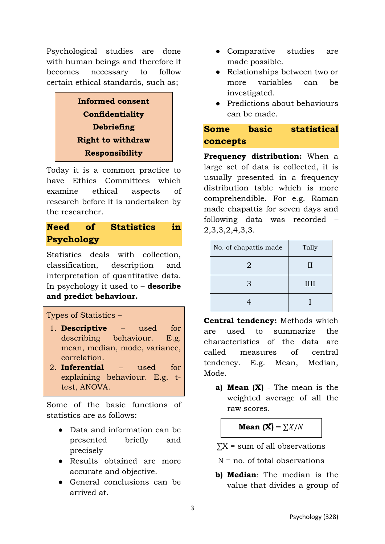Psychological studies are done with human beings and therefore it becomes necessary to follow certain ethical standards, such as;



Today it is a common practice to have Ethics Committees which examine ethical aspects of research before it is undertaken by the researcher.

# **Need of Statistics in Psychology**

Statistics deals with collection, classification, description and interpretation of quantitative data. In psychology it used to – **describe and predict behaviour.** 

### Types of Statistics –

- 1. **Descriptive** used for describing behaviour. E.g. mean, median, mode, variance, correlation.
- 2. **Inferential** used for explaining behaviour. E.g. ttest, ANOVA.

Some of the basic functions of statistics are as follows:

- Data and information can be presented briefly and precisely
- Results obtained are more accurate and objective.
- General conclusions can be arrived at.
- Comparative studies are made possible.
- Relationships between two or more variables can be investigated.
- Predictions about behaviours can be made.

# **Some basic statistical concepts**

**Frequency distribution:** When a large set of data is collected, it is usually presented in a frequency distribution table which is more comprehendible. For e.g. Raman made chapattis for seven days and following data was recorded – 2,3,3,2,4,3,3.

| No. of chapattis made | Tally |
|-----------------------|-------|
| 2                     | Н     |
| 3                     | Ш     |
|                       |       |

**Central tendency:** Methods which are used to summarize the characteristics of the data are called measures of central tendency. E.g. Mean, Median, Mode.

**a) Mean (X̅)** - The mean is the weighted average of all the raw scores.

**Mean**  $(X) = \sum X/N$ 

 $\Sigma X$  = sum of all observations

 $N = n_0$ , of total observations

**b) Median**: The median is the value that divides a group of